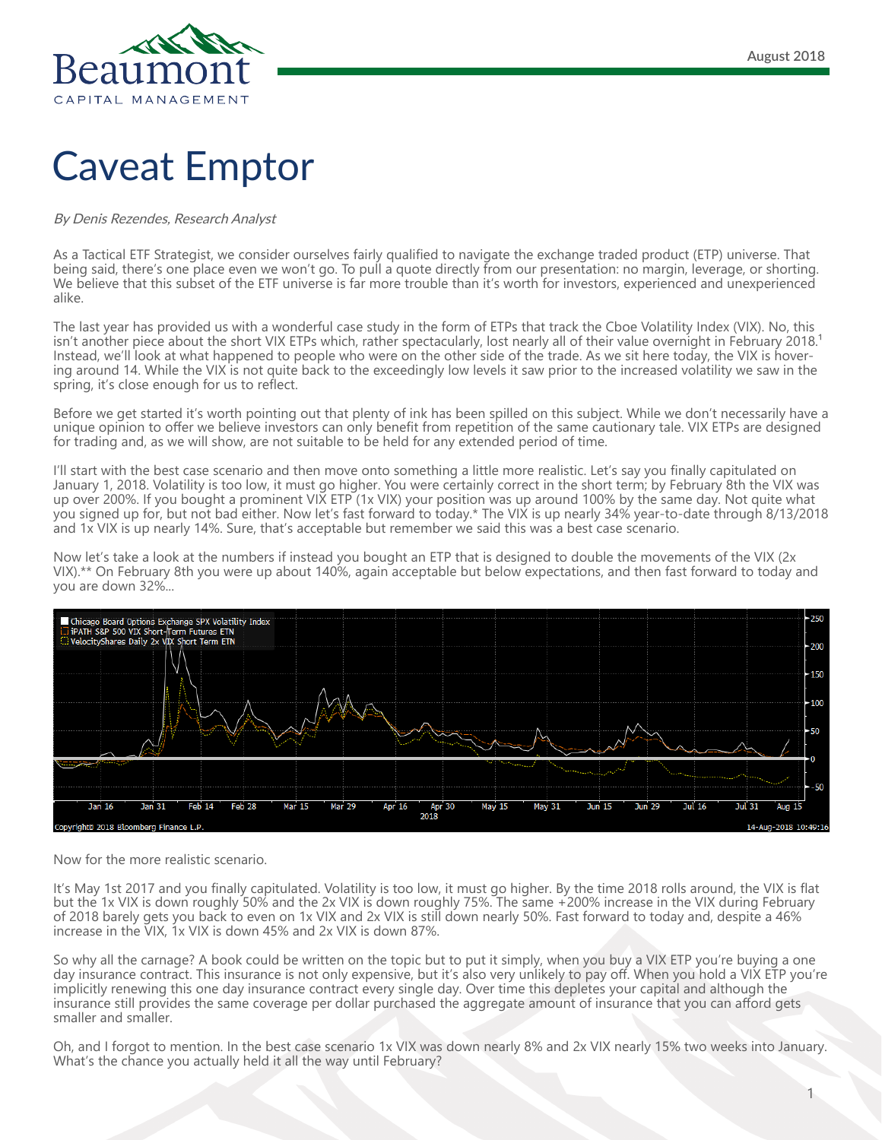

## Caveat Emptor

## By Denis Rezendes, Research Analyst

As a Tactical ETF Strategist, we consider ourselves fairly qualified to navigate the exchange traded product (ETP) universe. That being said, there's one place even we won't go. To pull a quote directly from our presentation: no margin, leverage, or shorting. We believe that this subset of the ETF universe is far more trouble than it's worth for investors, experienced and unexperienced alike.

The last year has provided us with a wonderful case study in the form of ETPs that track the Cboe Volatility Index (VIX). No, this isn't another piece about the short VIX ETPs which, rather spectacularly, lost nearly all of their value overnight in February 2018.<sup>1</sup> Instead, we'll look at what happened to people who were on the other side of the trade. As we sit here today, the VIX is hovering around 14. While the VIX is not quite back to the exceedingly low levels it saw prior to the increased volatility we saw in the spring, it's close enough for us to reflect.

Before we get started it's worth pointing out that plenty of ink has been spilled on this subject. While we don't necessarily have a unique opinion to offer we believe investors can only benefit from repetition of the same cautionary tale. VIX ETPs are designed for trading and, as we will show, are not suitable to be held for any extended period of time.

I'll start with the best case scenario and then move onto something a little more realistic. Let's say you finally capitulated on January 1, 2018. Volatility is too low, it must go higher. You were certainly correct in the short term; by February 8th the VIX was up over 200%. If you bought a prominent VIX ETP (1x VIX) your position was up around 100% by the same day. Not quite what you signed up for, but not bad either. Now let's fast forward to today.\* The VIX is up nearly 34% year-to-date through 8/13/2018 and 1x VIX is up nearly 14%. Sure, that's acceptable but remember we said this was a best case scenario.

Now let's take a look at the numbers if instead you bought an ETP that is designed to double the movements of the VIX (2x VIX).\*\* On February 8th you were up about 140%, again acceptable but below expectations, and then fast forward to today and you are down 32%...



Now for the more realistic scenario.

It's May 1st 2017 and you finally capitulated. Volatility is too low, it must go higher. By the time 2018 rolls around, the VIX is flat but the 1x VIX is down roughly 50% and the 2x VIX is down roughly 75%. The same +200% increase in the VIX during February of 2018 barely gets you back to even on 1x VIX and 2x VIX is still down nearly 50%. Fast forward to today and, despite a 46% increase in the VIX, 1x VIX is down 45% and 2x VIX is down 87%.

So why all the carnage? A book could be written on the topic but to put it simply, when you buy a VIX ETP you're buying a one day insurance contract. This insurance is not only expensive, but it's also very unlikely to pay off. When you hold a VIX ETP you're implicitly renewing this one day insurance contract every single day. Over time this depletes your capital and although the insurance still provides the same coverage per dollar purchased the aggregate amount of insurance that you can afford gets smaller and smaller.

Oh, and I forgot to mention. In the best case scenario 1x VIX was down nearly 8% and 2x VIX nearly 15% two weeks into January. What's the chance you actually held it all the way until February?